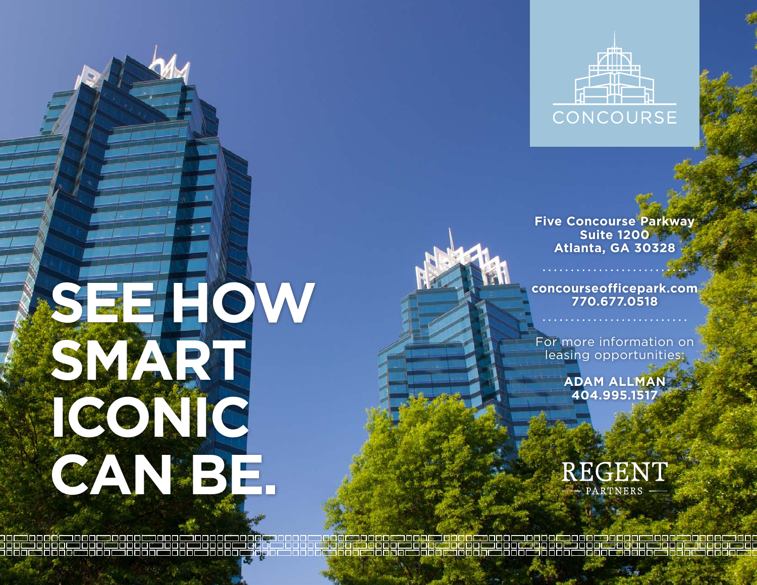

**Five Concourse Parkway Suite 1200 Atlanta, G A 30328**

**concourseofficepark.com 770.677.0518**

For more information on leasing opportunities:

> **Adam Allman 404.995.1517**



## **See how smart iconic can be.**

3 | 6 | 8 | 8 | 5 | 8 | 8 | 8 | 9 | 9 <u>s s s e e</u>

رو در در حمر و و او هم و رو و هم و پور و مغرو <mark>و و هم چو و در حمر و و او هم او و و است و و به من و رو هم و و و ه</mark> <u> 286 - 2000a - 2000a 2000a 2000a 2000a 2000a 2000a 2000</u>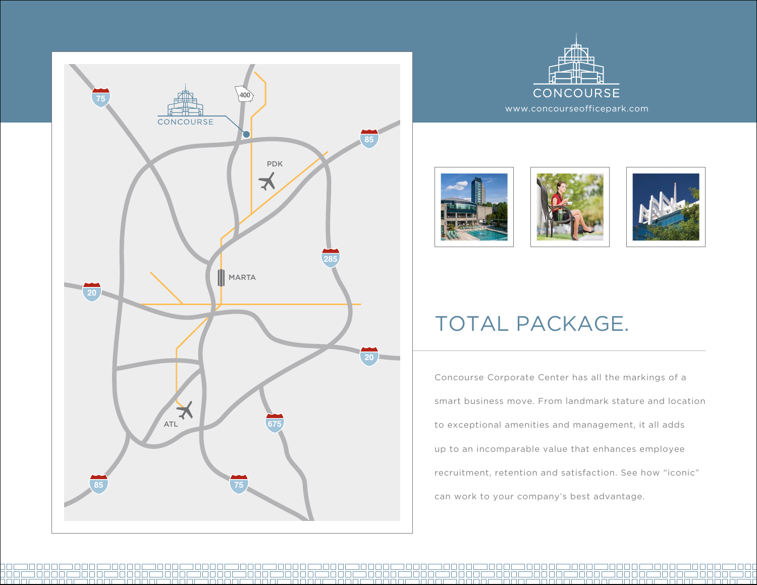





38886<br>2888

482





## TOTAL PACKAGE.

Concourse Corporate Center has all the markings of a smart business move. From landmark stature and location to exceptional amenities and management, it all adds up to an incomparable value that enhances employee recruitment, retention and satisfaction. See how "iconic" can work to your company's best advantage.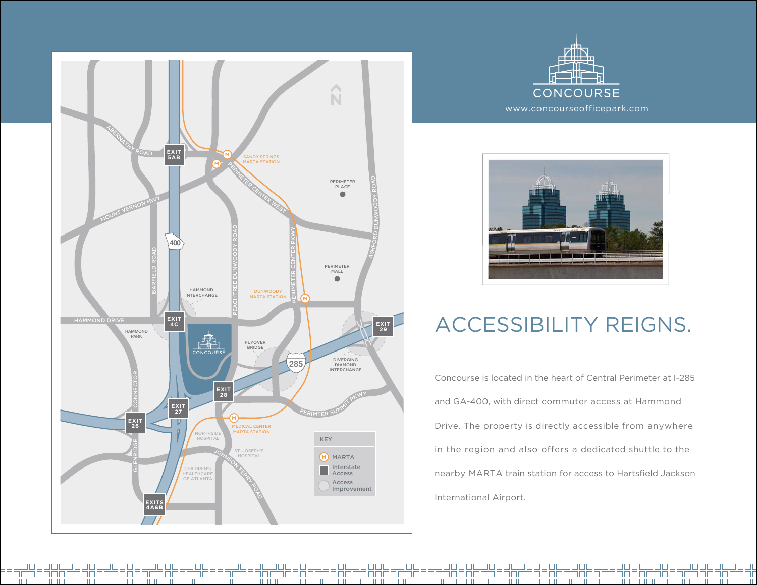

30000

noono

INNE

nn nn m

n m m m r

noono

man man da man da man da man da ma





## Accessibility reigns.

Concourse is located in the heart of Central Perimeter at I-285 and GA-400, with direct commuter access at Hammond Drive. The property is directly accessible from anywhere in the region and also offers a dedicated shuttle to the nearby MARTA train station for access to Hartsfield Jackson International Airport.

30 C

s **e je je je ma je je je** je je

3 O C